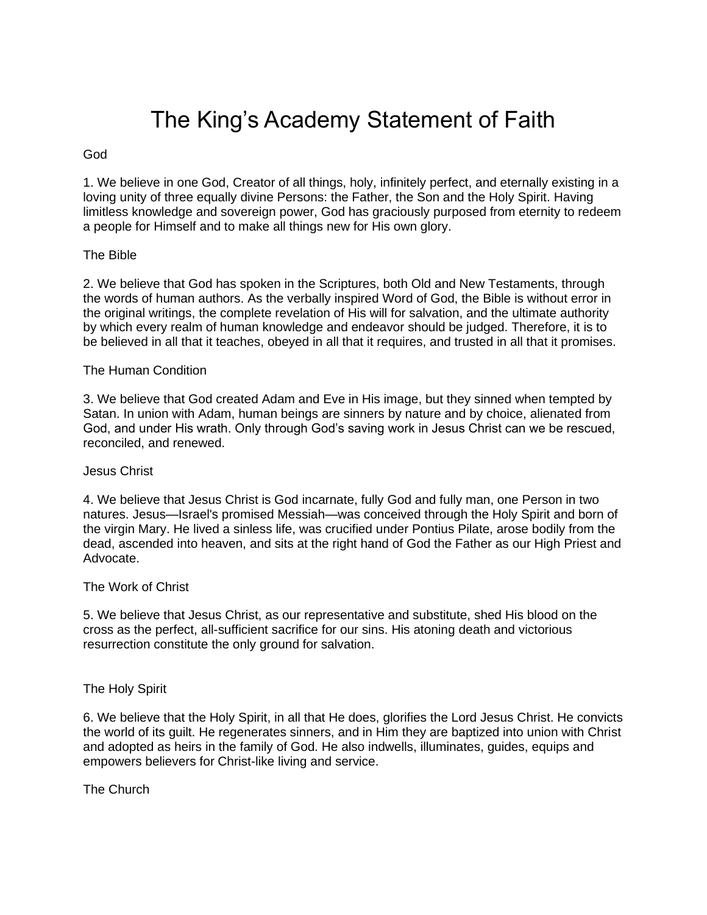# The King's Academy Statement of Faith

# God

1. We believe in one God, Creator of all things, holy, infinitely perfect, and eternally existing in a loving unity of three equally divine Persons: the Father, the Son and the Holy Spirit. Having limitless knowledge and sovereign power, God has graciously purposed from eternity to redeem a people for Himself and to make all things new for His own glory.

# The Bible

2. We believe that God has spoken in the Scriptures, both Old and New Testaments, through the words of human authors. As the verbally inspired Word of God, the Bible is without error in the original writings, the complete revelation of His will for salvation, and the ultimate authority by which every realm of human knowledge and endeavor should be judged. Therefore, it is to be believed in all that it teaches, obeyed in all that it requires, and trusted in all that it promises.

## The Human Condition

3. We believe that God created Adam and Eve in His image, but they sinned when tempted by Satan. In union with Adam, human beings are sinners by nature and by choice, alienated from God, and under His wrath. Only through God's saving work in Jesus Christ can we be rescued, reconciled, and renewed.

#### Jesus Christ

4. We believe that Jesus Christ is God incarnate, fully God and fully man, one Person in two natures. Jesus—Israel's promised Messiah—was conceived through the Holy Spirit and born of the virgin Mary. He lived a sinless life, was crucified under Pontius Pilate, arose bodily from the dead, ascended into heaven, and sits at the right hand of God the Father as our High Priest and Advocate.

#### The Work of Christ

5. We believe that Jesus Christ, as our representative and substitute, shed His blood on the cross as the perfect, all-sufficient sacrifice for our sins. His atoning death and victorious resurrection constitute the only ground for salvation.

# The Holy Spirit

6. We believe that the Holy Spirit, in all that He does, glorifies the Lord Jesus Christ. He convicts the world of its guilt. He regenerates sinners, and in Him they are baptized into union with Christ and adopted as heirs in the family of God. He also indwells, illuminates, guides, equips and empowers believers for Christ-like living and service.

The Church